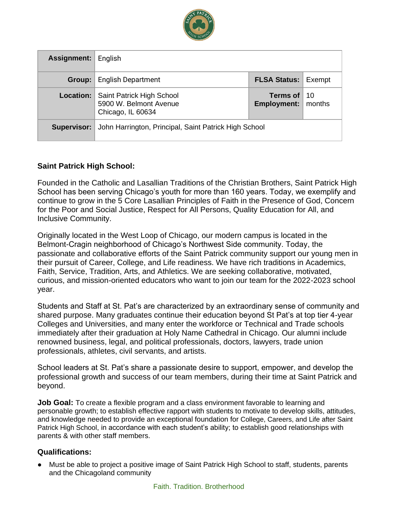

| Assignment: | English                                                                  |                                                    |  |
|-------------|--------------------------------------------------------------------------|----------------------------------------------------|--|
| Group:      | <b>English Department</b>                                                | <b>FLSA Status: Exempt</b>                         |  |
| Location:   | Saint Patrick High School<br>5900 W. Belmont Avenue<br>Chicago, IL 60634 | Terms of $\vert$ 10<br><b>Employment:</b>   months |  |
| Supervisor: | John Harrington, Principal, Saint Patrick High School                    |                                                    |  |

### **Saint Patrick High School:**

Founded in the Catholic and Lasallian Traditions of the Christian Brothers, Saint Patrick High School has been serving Chicago's youth for more than 160 years. Today, we exemplify and continue to grow in the 5 Core Lasallian Principles of Faith in the Presence of God, Concern for the Poor and Social Justice, Respect for All Persons, Quality Education for All, and Inclusive Community.

Originally located in the West Loop of Chicago, our modern campus is located in the Belmont-Cragin neighborhood of Chicago's Northwest Side community. Today, the passionate and collaborative efforts of the Saint Patrick community support our young men in their pursuit of Career, College, and Life readiness. We have rich traditions in Academics, Faith, Service, Tradition, Arts, and Athletics. We are seeking collaborative, motivated, curious, and mission-oriented educators who want to join our team for the 2022-2023 school year.

Students and Staff at St. Pat's are characterized by an extraordinary sense of community and shared purpose. Many graduates continue their education beyond St Pat's at top tier 4-year Colleges and Universities, and many enter the workforce or Technical and Trade schools immediately after their graduation at Holy Name Cathedral in Chicago. Our alumni include renowned business, legal, and political professionals, doctors, lawyers, trade union professionals, athletes, civil servants, and artists.

School leaders at St. Pat's share a passionate desire to support, empower, and develop the professional growth and success of our team members, during their time at Saint Patrick and beyond.

**Job Goal:** To create a flexible program and a class environment favorable to learning and personable growth; to establish effective rapport with students to motivate to develop skills, attitudes, and knowledge needed to provide an exceptional foundation for College, Careers, and Life after Saint Patrick High School, in accordance with each student's ability; to establish good relationships with parents & with other staff members.

### **Qualifications:**

● Must be able to project a positive image of Saint Patrick High School to staff, students, parents and the Chicagoland community